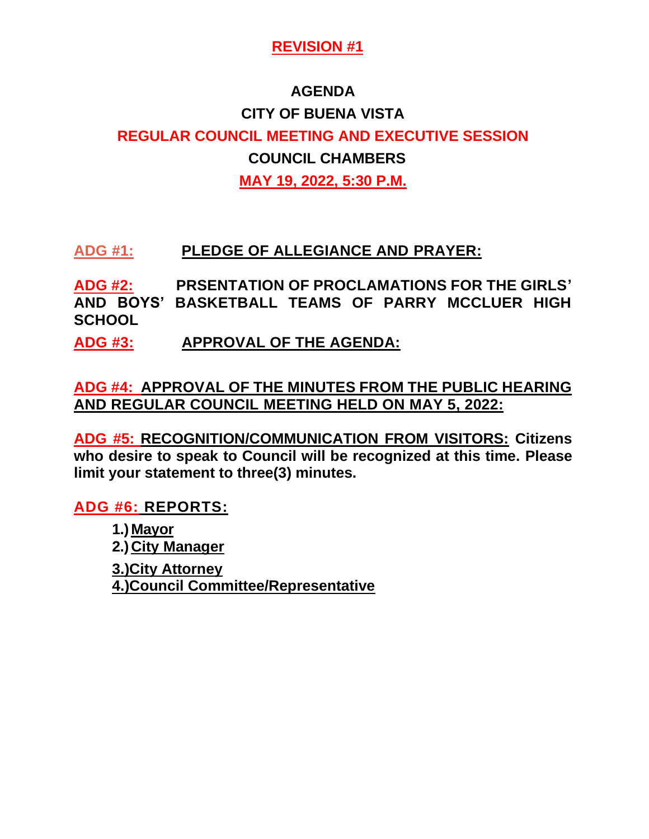#### **AGENDA**

# **CITY OF BUENA VISTA REGULAR COUNCIL MEETING AND EXECUTIVE SESSION COUNCIL CHAMBERS MAY 19, 2022, 5:30 P.M.**

## **ADG #1: PLEDGE OF ALLEGIANCE AND PRAYER:**

**ADG #2: PRSENTATION OF PROCLAMATIONS FOR THE GIRLS' AND BOYS' BASKETBALL TEAMS OF PARRY MCCLUER HIGH SCHOOL**

**ADG #3: APPROVAL OF THE AGENDA:**

**ADG #4: APPROVAL OF THE MINUTES FROM THE PUBLIC HEARING AND REGULAR COUNCIL MEETING HELD ON MAY 5, 2022:**

**ADG #5: RECOGNITION/COMMUNICATION FROM VISITORS: Citizens who desire to speak to Council will be recognized at this time. Please limit your statement to three(3) minutes.** 

**ADG #6: REPORTS:** 

**1.) Mayor 2.) City Manager 3.)City Attorney 4.)Council Committee/Representative**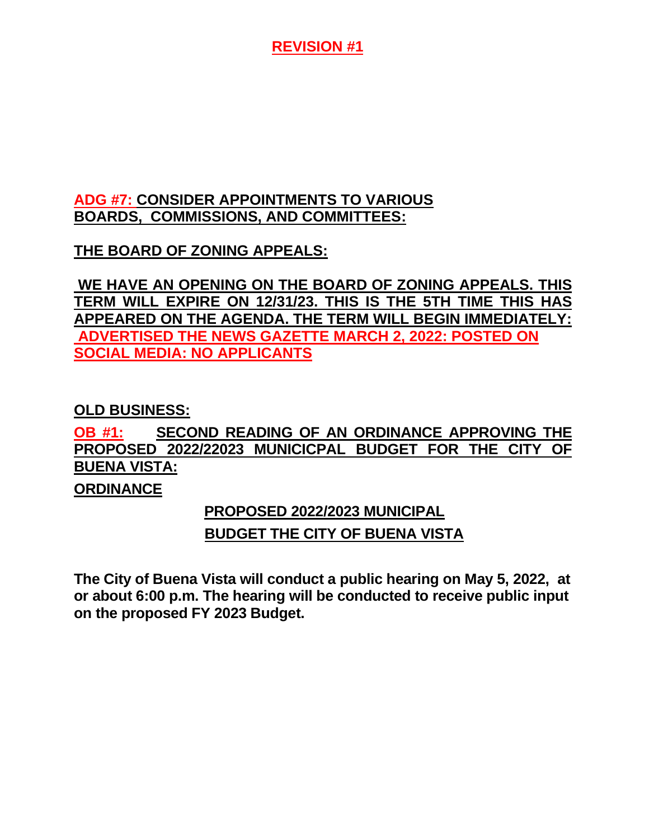#### **ADG #7: CONSIDER APPOINTMENTS TO VARIOUS BOARDS, COMMISSIONS, AND COMMITTEES:**

## **THE BOARD OF ZONING APPEALS:**

**WE HAVE AN OPENING ON THE BOARD OF ZONING APPEALS. THIS TERM WILL EXPIRE ON 12/31/23. THIS IS THE 5TH TIME THIS HAS APPEARED ON THE AGENDA. THE TERM WILL BEGIN IMMEDIATELY: ADVERTISED THE NEWS GAZETTE MARCH 2, 2022: POSTED ON SOCIAL MEDIA: NO APPLICANTS**

#### **OLD BUSINESS:**

# **OB #1: SECOND READING OF AN ORDINANCE APPROVING THE PROPOSED 2022/22023 MUNICICPAL BUDGET FOR THE CITY OF BUENA VISTA:**

#### **ORDINANCE**

## **PROPOSED 2022/2023 MUNICIPAL**

#### **BUDGET THE CITY OF BUENA VISTA**

**The City of Buena Vista will conduct a public hearing on May 5, 2022, at or about 6:00 p.m. The hearing will be conducted to receive public input on the proposed FY 2023 Budget.**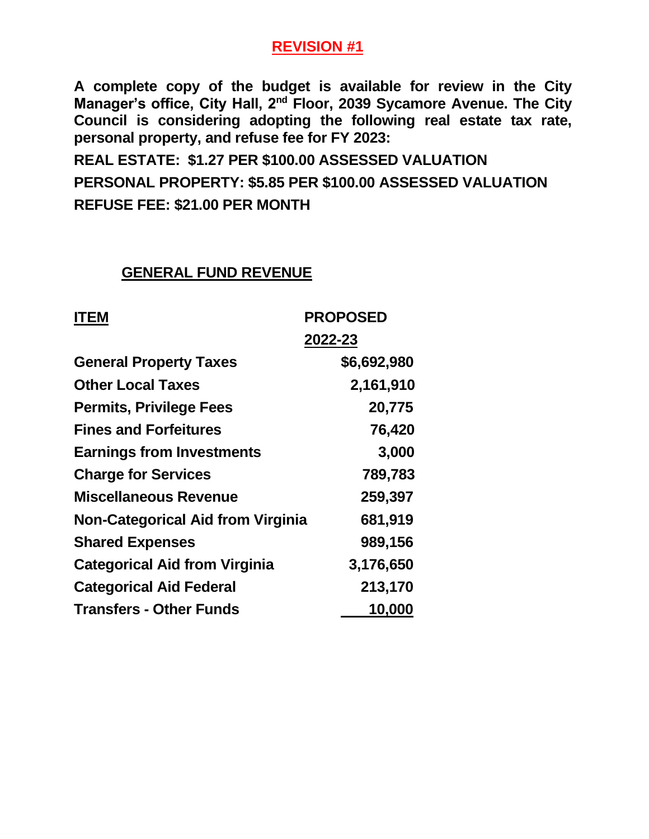**A complete copy of the budget is available for review in the City Manager's office, City Hall, 2nd Floor, 2039 Sycamore Avenue. The City Council is considering adopting the following real estate tax rate, personal property, and refuse fee for FY 2023:**

**REAL ESTATE: \$1.27 PER \$100.00 ASSESSED VALUATION PERSONAL PROPERTY: \$5.85 PER \$100.00 ASSESSED VALUATION REFUSE FEE: \$21.00 PER MONTH**

#### **GENERAL FUND REVENUE**

| <b>PROPOSED</b><br><b>ITEM</b>           |             |  |
|------------------------------------------|-------------|--|
|                                          | 2022-23     |  |
| <b>General Property Taxes</b>            | \$6,692,980 |  |
| <b>Other Local Taxes</b>                 | 2,161,910   |  |
| <b>Permits, Privilege Fees</b>           | 20,775      |  |
| <b>Fines and Forfeitures</b>             | 76,420      |  |
| <b>Earnings from Investments</b>         | 3,000       |  |
| <b>Charge for Services</b>               | 789,783     |  |
| Miscellaneous Revenue                    | 259,397     |  |
| <b>Non-Categorical Aid from Virginia</b> | 681,919     |  |
| <b>Shared Expenses</b>                   | 989,156     |  |
| <b>Categorical Aid from Virginia</b>     | 3,176,650   |  |
| <b>Categorical Aid Federal</b>           | 213,170     |  |
| <b>Transfers - Other Funds</b>           | 10,000      |  |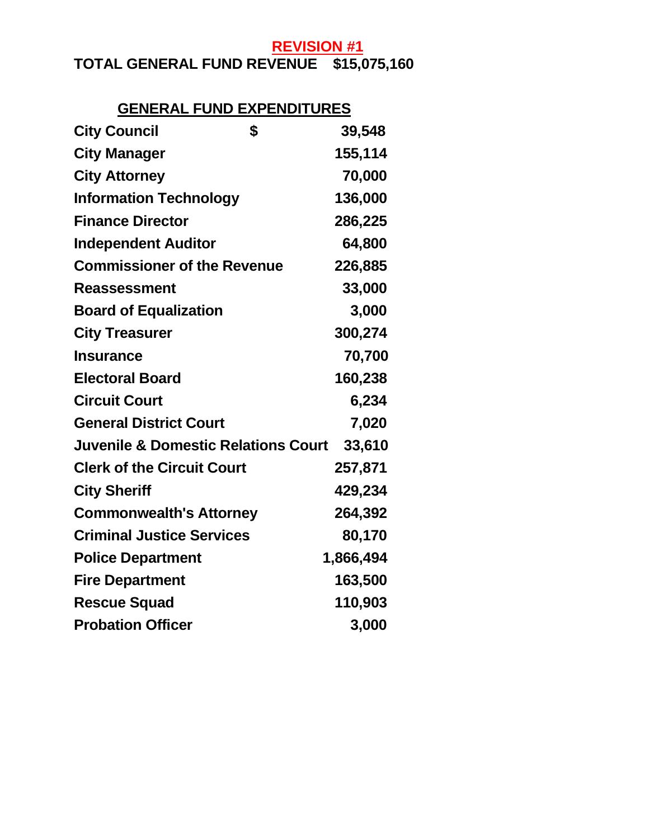# **TOTAL GENERAL FUND REVENUE \$15,075,160**

#### **GENERAL FUND EXPENDITURES**

| \$<br><b>City Council</b>                      | 39,548    |
|------------------------------------------------|-----------|
| <b>City Manager</b>                            | 155,114   |
| <b>City Attorney</b>                           | 70,000    |
| <b>Information Technology</b>                  | 136,000   |
| <b>Finance Director</b>                        | 286,225   |
| <b>Independent Auditor</b>                     | 64,800    |
| <b>Commissioner of the Revenue</b>             | 226,885   |
| <b>Reassessment</b>                            | 33,000    |
| <b>Board of Equalization</b>                   | 3,000     |
| <b>City Treasurer</b>                          | 300,274   |
| <b>Insurance</b>                               | 70,700    |
| <b>Electoral Board</b>                         | 160,238   |
| <b>Circuit Court</b>                           | 6,234     |
| <b>General District Court</b>                  | 7,020     |
| <b>Juvenile &amp; Domestic Relations Court</b> | 33,610    |
| <b>Clerk of the Circuit Court</b>              | 257,871   |
| <b>City Sheriff</b>                            | 429,234   |
| <b>Commonwealth's Attorney</b>                 | 264,392   |
| <b>Criminal Justice Services</b>               | 80,170    |
| <b>Police Department</b>                       | 1,866,494 |
| <b>Fire Department</b>                         | 163,500   |
| <b>Rescue Squad</b>                            | 110,903   |
| <b>Probation Officer</b>                       | 3,000     |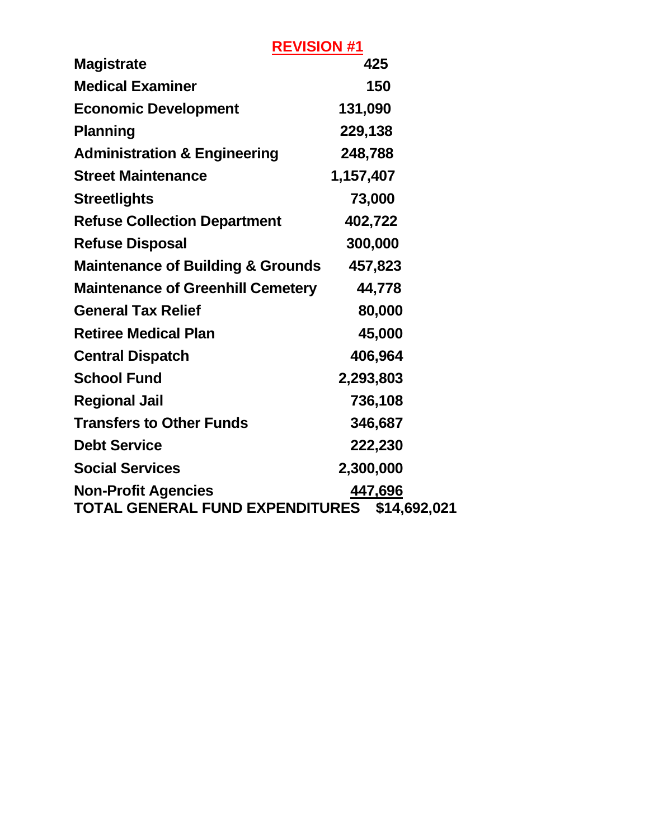|                                                               | <b>REVISION #1</b>      |
|---------------------------------------------------------------|-------------------------|
| <b>Magistrate</b>                                             | 425                     |
| <b>Medical Examiner</b>                                       | 150                     |
| <b>Economic Development</b>                                   | 131,090                 |
| <b>Planning</b>                                               | 229,138                 |
| <b>Administration &amp; Engineering</b>                       | 248,788                 |
| <b>Street Maintenance</b>                                     | 1,157,407               |
| <b>Streetlights</b>                                           | 73,000                  |
| <b>Refuse Collection Department</b>                           | 402,722                 |
| <b>Refuse Disposal</b>                                        | 300,000                 |
| <b>Maintenance of Building &amp; Grounds</b>                  | 457,823                 |
| <b>Maintenance of Greenhill Cemetery</b>                      | 44,778                  |
| <b>General Tax Relief</b>                                     | 80,000                  |
| 45,000<br><b>Retiree Medical Plan</b>                         |                         |
| <b>Central Dispatch</b><br>406,964                            |                         |
| <b>School Fund</b>                                            | 2,293,803               |
| <b>Regional Jail</b>                                          | 736,108                 |
| <b>Transfers to Other Funds</b>                               | 346,687                 |
| <b>Debt Service</b>                                           | 222,230                 |
| <b>Social Services</b>                                        | 2,300,000               |
| <b>Non-Profit Agencies</b><br>TOTAL GENERAL FUND EXPENDITURES | 447,696<br>\$14,692,021 |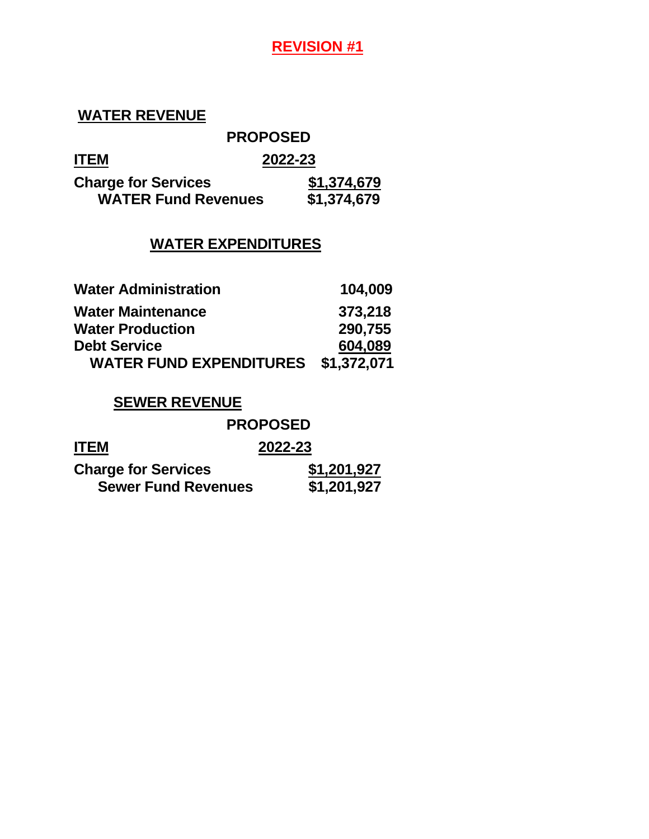#### **WATER REVENUE**

#### **PROPOSED**

|--|

| <b>ITEM</b>                | 2022-23     |  |  |  |
|----------------------------|-------------|--|--|--|
| <b>Charge for Services</b> | \$1,374,679 |  |  |  |
| <b>WATER Fund Revenues</b> | \$1,374,679 |  |  |  |

#### **WATER EXPENDITURES**

| <b>Water Administration</b>    | 104,009     |
|--------------------------------|-------------|
| <b>Water Maintenance</b>       | 373,218     |
| <b>Water Production</b>        | 290,755     |
| <b>Debt Service</b>            | 604,089     |
| <b>WATER FUND EXPENDITURES</b> | \$1,372,071 |

#### **SEWER REVENUE**

|                            | <b>PROPOSED</b> |
|----------------------------|-----------------|
| <b>ITEM</b>                | 2022-23         |
| <b>Charge for Services</b> | \$1,201,927     |
| <b>Sewer Fund Revenues</b> | \$1,201,927     |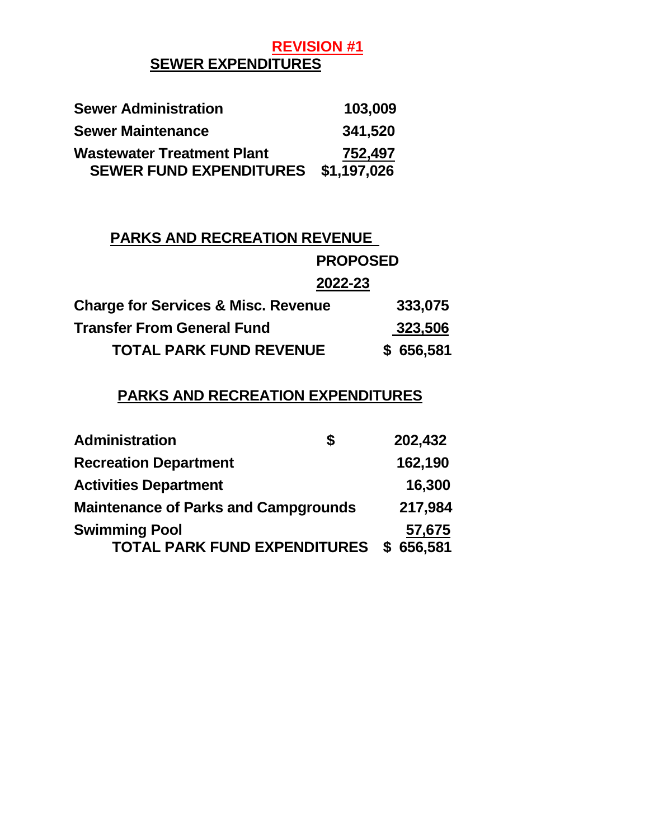## **REVISION #1 SEWER EXPENDITURES**

| <b>Sewer Administration</b>       | 103,009     |
|-----------------------------------|-------------|
| <b>Sewer Maintenance</b>          | 341,520     |
| <b>Wastewater Treatment Plant</b> | 752,497     |
| <b>SEWER FUND EXPENDITURES</b>    | \$1,197,026 |

#### **PARKS AND RECREATION REVENUE**

# **PROPOSED 2022-23 Charge for Services & Misc. Revenue 333,075 Transfer From General Fund 323,506 TOTAL PARK FUND REVENUE \$ 656,581**

#### **PARKS AND RECREATION EXPENDITURES**

| <b>Administration</b>                       | S | 202,432   |
|---------------------------------------------|---|-----------|
| <b>Recreation Department</b>                |   | 162,190   |
| <b>Activities Department</b>                |   | 16,300    |
| <b>Maintenance of Parks and Campgrounds</b> |   | 217,984   |
| <b>Swimming Pool</b>                        |   | 57,675    |
| <b>TOTAL PARK FUND EXPENDITURES</b>         |   | \$656,581 |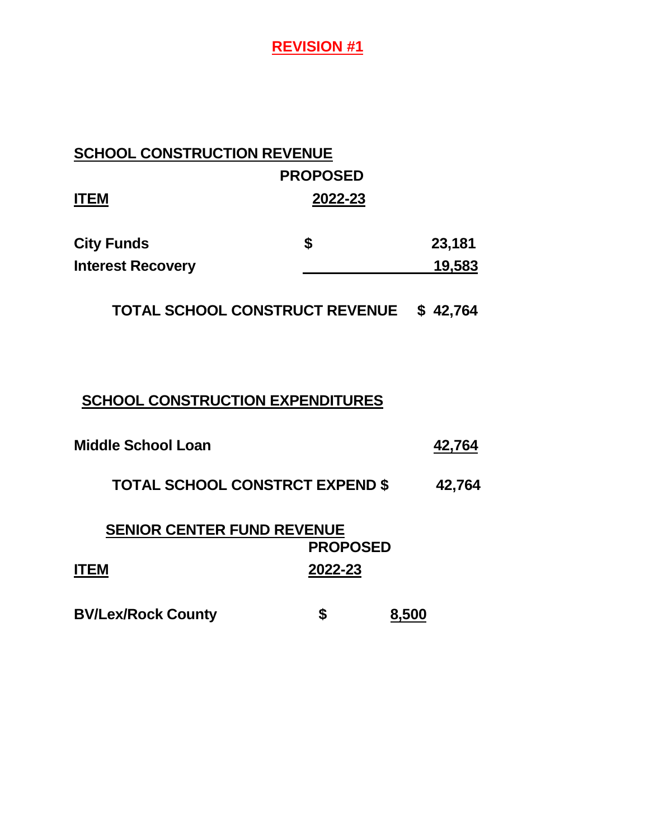# **SCHOOL CONSTRUCTION REVENUE PROPOSED ITEM 2022-23 City Funds \$ 23,181 Interest Recovery 19,583**

**TOTAL SCHOOL CONSTRUCT REVENUE \$ 42,764**

#### **SCHOOL CONSTRUCTION EXPENDITURES**

| <b>Middle School Loan</b> | 42.764 |
|---------------------------|--------|
|                           |        |

**TOTAL SCHOOL CONSTRCT EXPEND \$ 42,764**

| <b>SENIOR CENTER FUND REVENUE</b> |                 |  |  |
|-----------------------------------|-----------------|--|--|
|                                   | <b>PROPOSED</b> |  |  |
| ITEM                              | 2022-23         |  |  |
|                                   |                 |  |  |

**BV/Lex/Rock County**  $\qquad \qquad$  **\$ 8,500**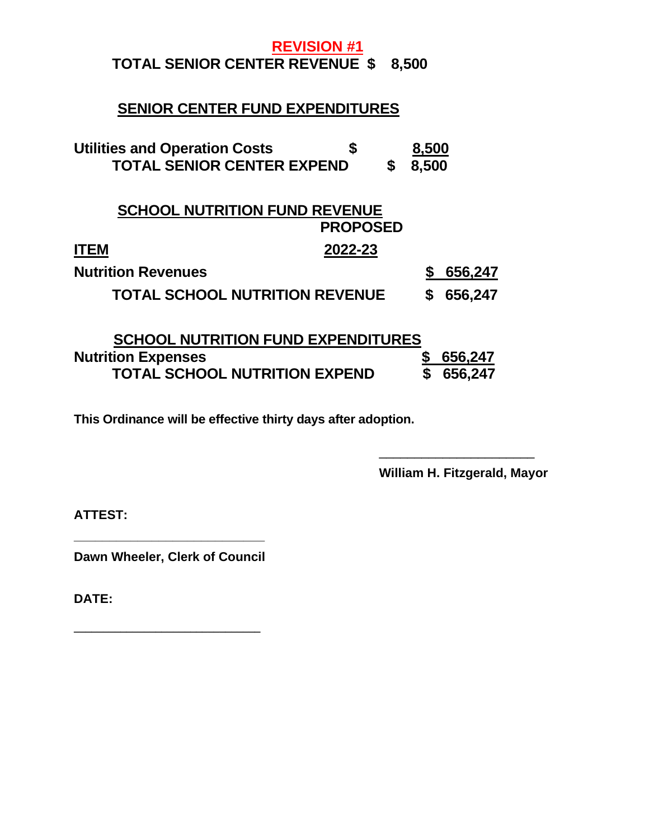#### **REVISION #1 TOTAL SENIOR CENTER REVENUE \$ 8,500**

# **SENIOR CENTER FUND EXPENDITURES**

| <b>Utilities and Operation Costs</b><br>S<br><b>TOTAL SENIOR CENTER EXPEND</b> | \$              | 8,500<br>8,500 |         |
|--------------------------------------------------------------------------------|-----------------|----------------|---------|
| <b>SCHOOL NUTRITION FUND REVENUE</b>                                           | <b>PROPOSED</b> |                |         |
| 2022-23<br><b>ITEM</b>                                                         |                 |                |         |
| <b>Nutrition Revenues</b>                                                      |                 |                | 656,247 |
| <b>TOTAL SCHOOL NUTRITION REVENUE</b>                                          |                 |                | 656,247 |

| <b>SCHOOL NUTRITION FUND EXPENDITURES</b> |           |
|-------------------------------------------|-----------|
| <b>Nutrition Expenses</b>                 | \$656,247 |
| <b>TOTAL SCHOOL NUTRITION EXPEND</b>      | \$656,247 |

**This Ordinance will be effective thirty days after adoption.**

**William H. Fitzgerald, Mayor**

\_\_\_\_\_\_\_\_\_\_\_\_\_\_\_\_\_\_\_\_\_\_

**ATTEST:**

**\_\_\_\_\_\_\_\_\_\_\_\_\_\_\_\_\_\_\_\_\_\_\_\_\_\_\_ Dawn Wheeler, Clerk of Council**

**\_\_\_\_\_\_\_\_\_\_\_\_\_\_\_\_\_\_\_\_\_\_\_\_\_\_\_\_\_\_\_\_**

**DATE:**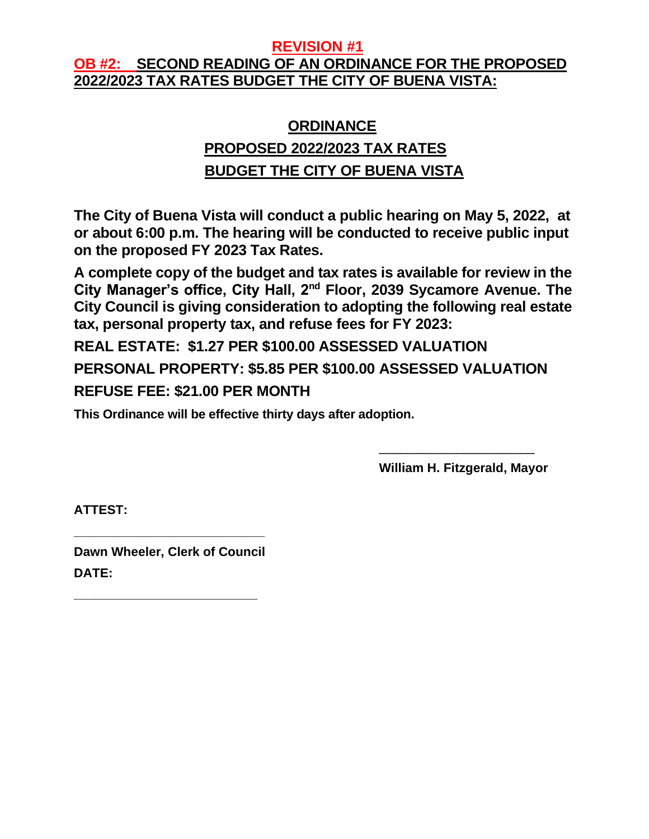## **OB #2: SECOND READING OF AN ORDINANCE FOR THE PROPOSED 2022/2023 TAX RATES BUDGET THE CITY OF BUENA VISTA:**

# **ORDINANCE PROPOSED 2022/2023 TAX RATES BUDGET THE CITY OF BUENA VISTA**

**The City of Buena Vista will conduct a public hearing on May 5, 2022, at or about 6:00 p.m. The hearing will be conducted to receive public input on the proposed FY 2023 Tax Rates.**

**A complete copy of the budget and tax rates is available for review in the City Manager's office, City Hall, 2nd Floor, 2039 Sycamore Avenue. The City Council is giving consideration to adopting the following real estate tax, personal property tax, and refuse fees for FY 2023:**

**REAL ESTATE: \$1.27 PER \$100.00 ASSESSED VALUATION PERSONAL PROPERTY: \$5.85 PER \$100.00 ASSESSED VALUATION REFUSE FEE: \$21.00 PER MONTH**

**This Ordinance will be effective thirty days after adoption.**

**William H. Fitzgerald, Mayor**

\_\_\_\_\_\_\_\_\_\_\_\_\_\_\_\_\_\_\_\_\_\_

**ATTEST:**

**Dawn Wheeler, Clerk of Council DATE:**

**\_\_\_\_\_\_\_\_\_\_\_\_\_\_\_\_\_\_\_\_\_\_\_\_\_\_\_**

**\_\_\_\_\_\_\_\_\_\_\_\_\_\_\_\_\_\_\_\_\_\_\_\_\_\_**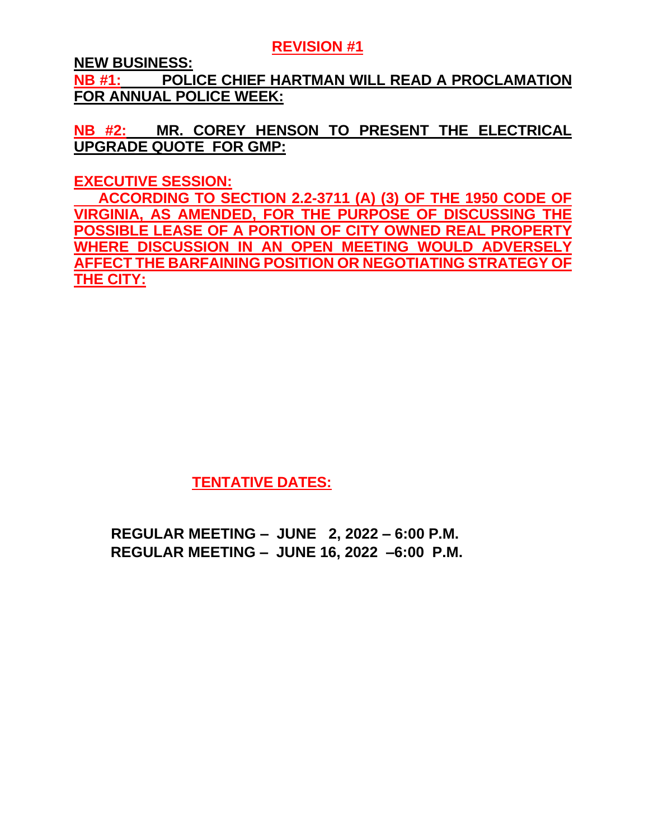**NEW BUSINESS:**

**NB #1: POLICE CHIEF HARTMAN WILL READ A PROCLAMATION FOR ANNUAL POLICE WEEK:**

**NB #2: MR. COREY HENSON TO PRESENT THE ELECTRICAL UPGRADE QUOTE FOR GMP:**

**EXECUTIVE SESSION:**

 **ACCORDING TO SECTION 2.2-3711 (A) (3) OF THE 1950 CODE OF VIRGINIA, AS AMENDED, FOR THE PURPOSE OF DISCUSSING THE POSSIBLE LEASE OF A PORTION OF CITY OWNED REAL PROPERTY WHERE DISCUSSION IN AN OPEN MEETING WOULD ADVERSELY AFFECT THE BARFAINING POSITION OR NEGOTIATING STRATEGY OF THE CITY:**

**TENTATIVE DATES:**

 **REGULAR MEETING – JUNE 2, 2022 – 6:00 P.M. REGULAR MEETING – JUNE 16, 2022 –6:00 P.M.**